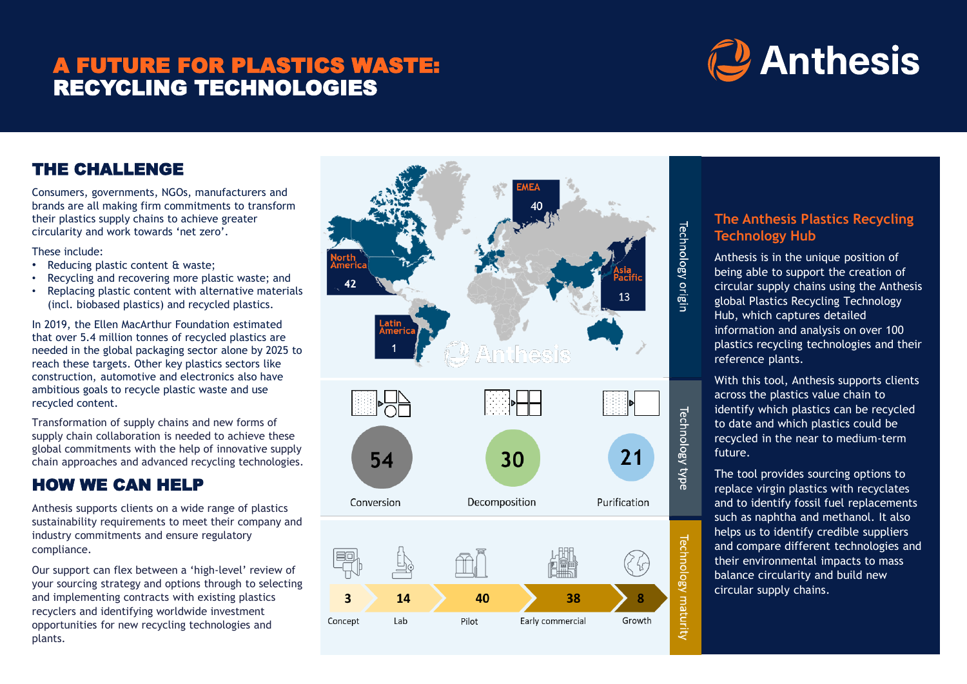### A FUTURE FOR PLASTICS WASTE: RECYCLING TECHNOLOGIES

# **C** Anthesis

### THE CHALLENGE

Consumers, governments, NGOs, manufacturers and brands are all making firm commitments to transform their plastics supply chains to achieve greater circularity and work towards 'net zero'.

These include:

- Reducing plastic content & waste;
- Recycling and recovering more plastic waste; and
- Replacing plastic content with alternative materials (incl. biobased plastics) and recycled plastics.

In 2019, the Ellen MacArthur Foundation estimated that over 5.4 million tonnes of recycled plastics are needed in the global packaging sector alone by 2025 to reach these targets. Other key plastics sectors like construction, automotive and electronics also have ambitious goals to recycle plastic waste and use recycled content.

Transformation of supply chains and new forms of supply chain collaboration is needed to achieve these global commitments with the help of innovative supply chain approaches and advanced recycling technologies.

### HOW WE CAN HELP

Anthesis supports clients on a wide range of plastics sustainability requirements to meet their company and industry commitments and ensure regulatory compliance.

Our support can flex between a 'high-level' review of your sourcing strategy and options through to selecting and implementing contracts with existing plastics recyclers and identifying worldwide investment opportunities for new recycling technologies and plants.



## **Technology Hub**

The Anthesis Plastics Recycling<br>
Technology Hub<br>
Anthesis is in the unique position of<br>
being able to support the creation of<br>
circular supply chains using the Anthesi<br>
giobal Plastics Recycling Technology Anthesis is in the unique position of being able to support the creation of circular supply chains using the Anthesis global Plastics Recycling Technology Hub, which captures detailed information and analysis on over 100 plastics recycling technologies and their reference plants.

> With this tool, Anthesis supports clients across the plastics value chain to identify which plastics can be recycled to date and which plastics could be recycled in the near to medium-term future.

The tool provides sourcing options to replace virgin plastics with recyclates and to identify fossil fuel replacements such as naphtha and methanol. It also helps us to identify credible suppliers and compare different technologies and their environmental impacts to mass balance circularity and build new circular supply chains.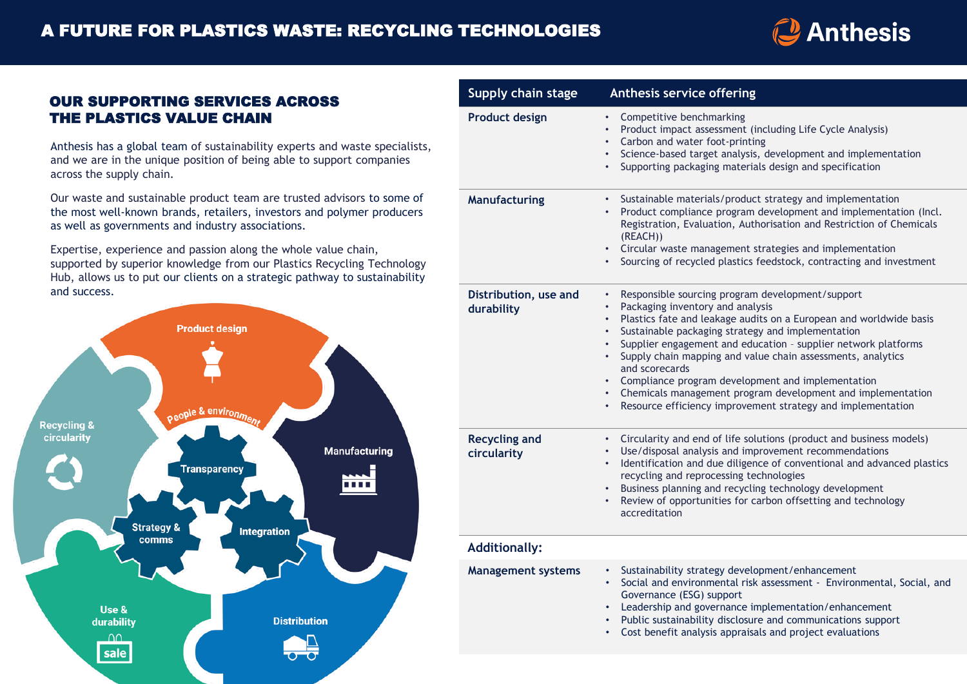

### OUR SUPPORTING SERVICES ACROSS THE PLASTICS VALUE CHAIN

Anthesis has a global team of sustainability experts and waste specialists, and we are in the unique position of being able to support companies across the supply chain.

Our waste and sustainable product team are trusted advisors to some of the most well-known brands, retailers, investors and polymer producers as well as governments and industry associations.

Expertise, experience and passion along the whole value chain, supported by superior knowledge from our Plastics Recycling Technology Hub, allows us to put our clients on a strategic pathway to sustainability and success.



| Supply chain stage                  | Anthesis service offering                                                                                                                                                                                                                                                                                                                                                                                                                                                                                                                                                                                                         |
|-------------------------------------|-----------------------------------------------------------------------------------------------------------------------------------------------------------------------------------------------------------------------------------------------------------------------------------------------------------------------------------------------------------------------------------------------------------------------------------------------------------------------------------------------------------------------------------------------------------------------------------------------------------------------------------|
| <b>Product design</b>               | Competitive benchmarking<br>$\bullet$ .<br>Product impact assessment (including Life Cycle Analysis)<br>$\bullet$<br>Carbon and water foot-printing<br>$\bullet$<br>• Science-based target analysis, development and implementation<br>Supporting packaging materials design and specification<br>$\bullet$                                                                                                                                                                                                                                                                                                                       |
| Manufacturing                       | Sustainable materials/product strategy and implementation<br>$\bullet$<br>Product compliance program development and implementation (Incl.<br>$\bullet$<br>Registration, Evaluation, Authorisation and Restriction of Chemicals<br>(REACH))<br>• Circular waste management strategies and implementation<br>Sourcing of recycled plastics feedstock, contracting and investment                                                                                                                                                                                                                                                   |
| Distribution, use and<br>durability | Responsible sourcing program development/support<br>٠<br>Packaging inventory and analysis<br>$\bullet$<br>Plastics fate and leakage audits on a European and worldwide basis<br>$\bullet$<br>Sustainable packaging strategy and implementation<br>$\bullet$<br>Supplier engagement and education - supplier network platforms<br>Supply chain mapping and value chain assessments, analytics<br>$\bullet$<br>and scorecards<br>• Compliance program development and implementation<br>• Chemicals management program development and implementation<br>Resource efficiency improvement strategy and implementation<br>$\bullet$ . |
| <b>Recycling and</b><br>circularity | Circularity and end of life solutions (product and business models)<br>$\bullet$ .<br>Use/disposal analysis and improvement recommendations<br>Identification and due diligence of conventional and advanced plastics<br>$\bullet$<br>recycling and reprocessing technologies<br>Business planning and recycling technology development<br>Review of opportunities for carbon offsetting and technology<br>$\bullet$<br>accreditation                                                                                                                                                                                             |
| <b>Additionally:</b>                |                                                                                                                                                                                                                                                                                                                                                                                                                                                                                                                                                                                                                                   |
| <b>Management systems</b>           | Sustainability strategy development/enhancement<br>Social and environmental risk assessment - Environmental, Social, and<br>Governance (ESG) support<br>Leadership and governance implementation/enhancement<br>$\bullet$<br>Public sustainability disclosure and communications support<br>Cost benefit analysis appraisals and project evaluations                                                                                                                                                                                                                                                                              |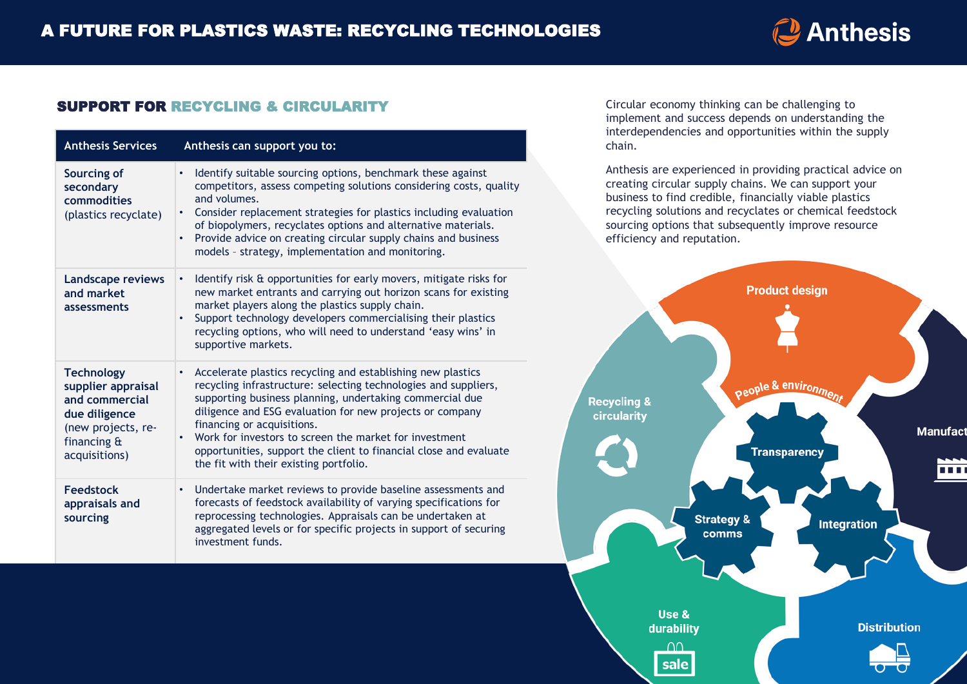### **J** Anthesis

### SUPPORT FOR RECYCLING & CIRCULARITY

| <b>Anthesis Services</b>                                                                                                         | Anthesis can support you to:                                                                                                                                                                                                                                                                                                                                                                                                                                                            |
|----------------------------------------------------------------------------------------------------------------------------------|-----------------------------------------------------------------------------------------------------------------------------------------------------------------------------------------------------------------------------------------------------------------------------------------------------------------------------------------------------------------------------------------------------------------------------------------------------------------------------------------|
| Sourcing of<br>secondary<br>commodities<br>(plastics recyclate)                                                                  | Identify suitable sourcing options, benchmark these against<br>$\bullet$<br>competitors, assess competing solutions considering costs, quality<br>and volumes.<br>Consider replacement strategies for plastics including evaluation<br>$\bullet$<br>of biopolymers, recyclates options and alternative materials.<br>Provide advice on creating circular supply chains and business<br>$\bullet$<br>models - strategy, implementation and monitoring.                                   |
| <b>Landscape reviews</b><br>and market<br>assessments                                                                            | Identify risk & opportunities for early movers, mitigate risks for<br>$\bullet$<br>new market entrants and carrying out horizon scans for existing<br>market players along the plastics supply chain.<br>Support technology developers commercialising their plastics<br>$\bullet$<br>recycling options, who will need to understand 'easy wins' in<br>supportive markets.                                                                                                              |
| <b>Technology</b><br>supplier appraisal<br>and commercial<br>due diligence<br>(new projects, re-<br>financing &<br>acquisitions) | Accelerate plastics recycling and establishing new plastics<br>$\bullet$<br>recycling infrastructure: selecting technologies and suppliers,<br>supporting business planning, undertaking commercial due<br>diligence and ESG evaluation for new projects or company<br>financing or acquisitions.<br>Work for investors to screen the market for investment<br>$\bullet$<br>opportunities, support the client to financial close and evaluate<br>the fit with their existing portfolio. |
| <b>Feedstock</b><br>appraisals and<br>sourcing                                                                                   | Undertake market reviews to provide baseline assessments and<br>$\bullet$<br>forecasts of feedstock availability of varying specifications for<br>reprocessing technologies. Appraisals can be undertaken at<br>aggregated levels or for specific projects in support of securing<br>investment funds.                                                                                                                                                                                  |

Circular economy thinking can be challenging to implement and success depends on understanding the interdependencies and opportunities within the supply chain.

Anthesis are experienced in providing practical advice on creating circular supply chains. We can support your business to find credible, financially viable plastics recycling solutions and recyclates or chemical feedstock sourcing options that subsequently improve resource efficiency and reputation.